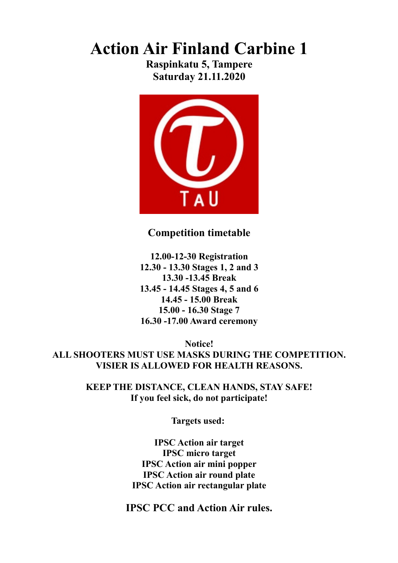### **Action Air Finland Carbine 1**

**Raspinkatu 5, Tampere Saturday 21.11.2020**



### **Competition timetable**

**12.00-12-30 Registration 12.30 - 13.30 Stages 1, 2 and 3 13.30 -13.45 Break 13.45 - 14.45 Stages 4, 5 and 6 14.45 - 15.00 Break 15.00 - 16.30 Stage 7 16.30 -17.00 Award ceremony**

**Notice! ALL SHOOTERS MUST USE MASKS DURING THE COMPETITION. VISIER IS ALLOWED FOR HEALTH REASONS.**

> **KEEP THE DISTANCE, CLEAN HANDS, STAY SAFE! If you feel sick, do not participate!**

> > **Targets used:**

**IPSC Action air target IPSC micro target IPSC Action air mini popper IPSC Action air round plate IPSC Action air rectangular plate**

**IPSC PCC and Action Air rules.**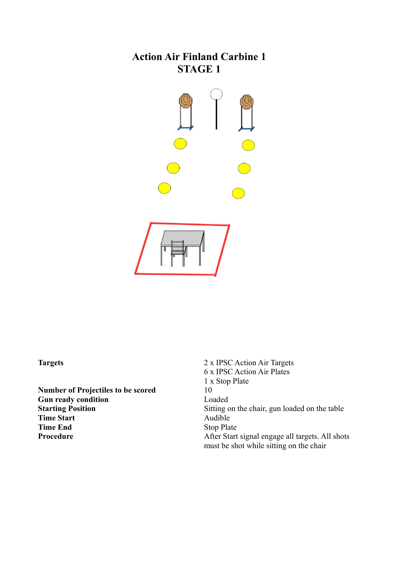

**Number of Projectiles to be scored** 10 **Gun ready condition**<br> **Starting Position**<br> **Gun Condition**<br> **Gun Condition**<br> **Gun Condition Time Start** Audible **Time End** Stop Plate

**Targets** 2 x IPSC Action Air Targets 6 x IPSC Action Air Plates 1 x Stop Plate Sitting on the chair, gun loaded on the table **Procedure** After Start signal engage all targets. All shots must be shot while sitting on the chair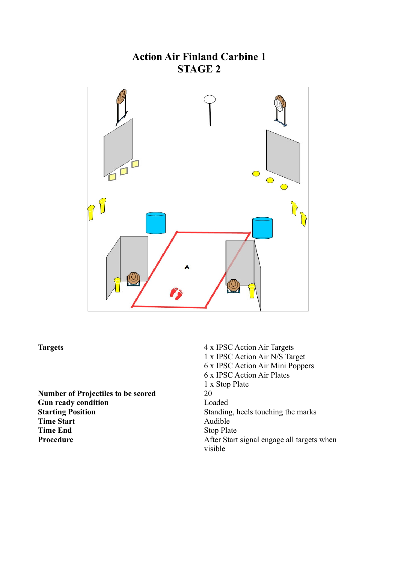# **Action Air Finland Carbine 1 STAGE 2**  $\bigcirc$  $\bigcirc$  $\bigcirc$  $\overline{\mathbb{C}}$

**Number of Projectiles to be scored** 20 **Gun ready condition** Loaded **Starting Position**<br> **Standing, heels touching the marks<br>
Time Start Time Start Time End** Stop Plate

**Targets** 4 x IPSC Action Air Targets 1 x IPSC Action Air N/S Target 6 x IPSC Action Air Mini Poppers 6 x IPSC Action Air Plates 1 x Stop Plate **Procedure** After Start signal engage all targets when visible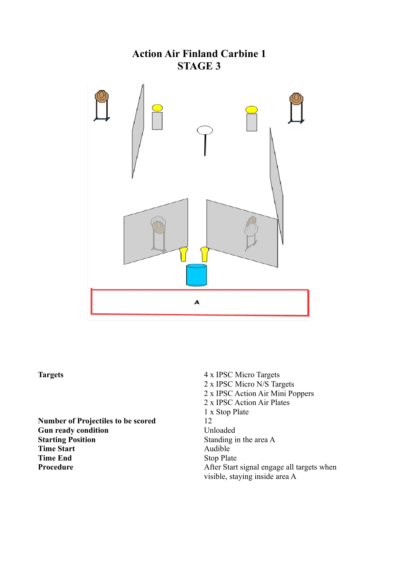

**Number of Projectiles to be scored** 12 Gun ready condition **Unloaded Starting Position** Standing in the area A **Time Start** Audible<br> **Time End** Stop Pla

**Targets** 4 x IPSC Micro Targets 2 x IPSC Micro N/S Targets 2 x IPSC Action Air Mini Poppers 2 x IPSC Action Air Plates 1 x Stop Plate **Stop Plate Procedure** After Start signal engage all targets when visible, staying inside area A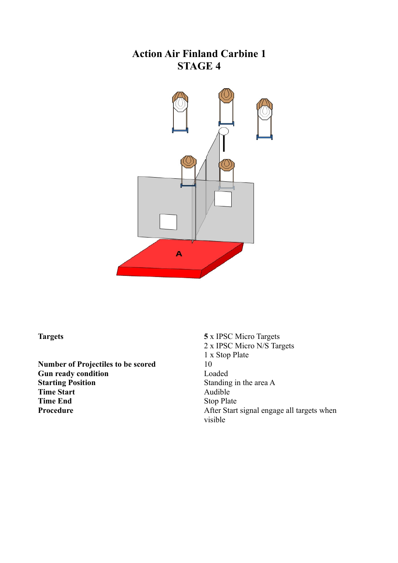

**Number of Projectiles to be scored Gun ready condition**<br> **Starting Position**<br> **Gundary Condition**<br> **Gundary Condition**<br> **Gundary Condition**<br> **Gundary Condition Time Start**<br>Time End

**Targets 5** x IPSC Micro Targets 2 x IPSC Micro N/S Targets 1 x Stop Plate Standing in the area A<br>Audible **Stop Plate Procedure** After Start signal engage all targets when visible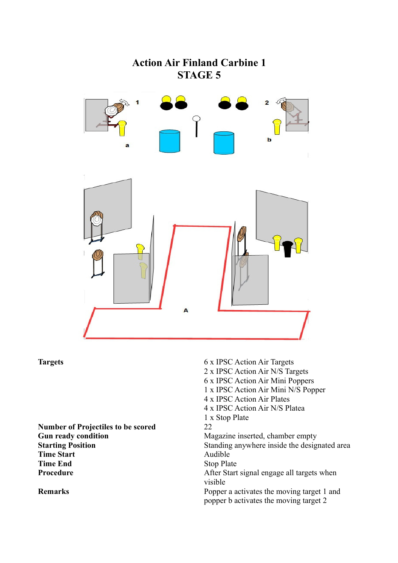

**Number of Projectiles to be scored** 22 **Gun ready condition**<br> **Gun ready condition**<br> **Standing anywhere inside the design of the standing anywhere inside the design Time Start** Audible **Time End** Stop Plate

**Targets** 6 x IPSC Action Air Targets 2 x IPSC Action Air N/S Targets 6 x IPSC Action Air Mini Poppers 1 x IPSC Action Air Mini N/S Popper 4 x IPSC Action Air Plates 4 x IPSC Action Air N/S Platea 1 x Stop Plate Standing anywhere inside the designated area

**Procedure** After Start signal engage all targets when visible

**Remarks** Popper a activates the moving target 1 and popper b activates the moving target 2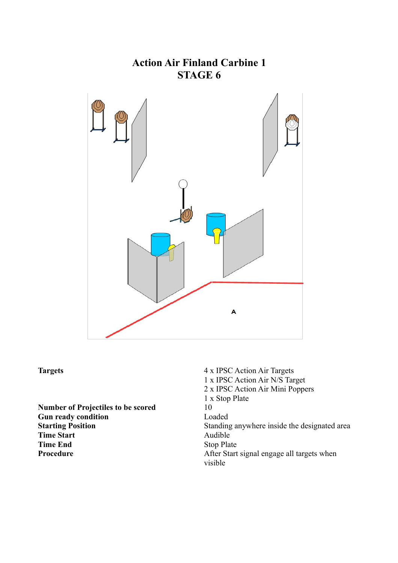

**Number of Projectiles to be scored Gun ready condition** Loaded **Time Start** Audible<br> **Time End**Stop Plat

**Targets** 4 x IPSC Action Air Targets 1 x IPSC Action Air N/S Target 2 x IPSC Action Air Mini Poppers 1 x Stop Plate **Starting Position** Standing anywhere inside the designated area **Stop Plate Procedure** After Start signal engage all targets when visible